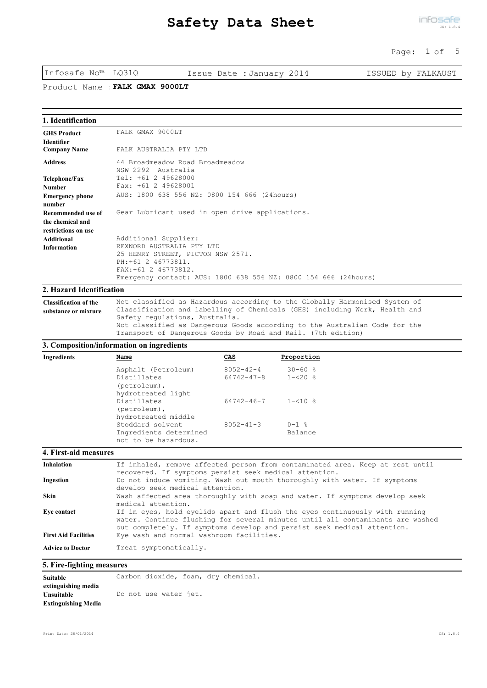#### Page: 1 of 5

Infosafe No™ LQ31Q Issue Date :January 2014 ISSUED by FALKAUST

Product Name :**FALK GMAX 9000LT**

| 1. Identification                       |                                                                                                                                                                                  |
|-----------------------------------------|----------------------------------------------------------------------------------------------------------------------------------------------------------------------------------|
| <b>GHS Product</b><br><b>Identifier</b> | FALK GMAX 9000LT                                                                                                                                                                 |
| <b>Company Name</b>                     | FALK AUSTRALIA PTY LTD                                                                                                                                                           |
| <b>Address</b>                          | 44 Broadmeadow Road Broadmeadow<br>NSW 2292 Australia                                                                                                                            |
| Telephone/Fax                           | Tel: +61 2 49628000                                                                                                                                                              |
| <b>Number</b>                           | Fax: +61 2 49628001                                                                                                                                                              |
| <b>Emergency phone</b><br>number        | AUS: 1800 638 556 NZ: 0800 154 666 (24hours)                                                                                                                                     |
| Recommended use of                      | Gear Lubricant used in open drive applications.                                                                                                                                  |
| the chemical and<br>restrictions on use |                                                                                                                                                                                  |
| Additional                              | Additional Supplier:                                                                                                                                                             |
| <b>Information</b>                      | REXNORD AUSTRALIA PTY LTD<br>25 HENRY STREET, PICTON NSW 2571.<br>PH: +61 2 46773811.<br>FAX: +61 2 46773812.<br>Emergency contact: AUS: 1800 638 556 NZ: 0800 154 666 (24hours) |

# **2. Hazard Identification**

Not classified as Hazardous according to the Globally Harmonised System of Classification and labelling of Chemicals (GHS) including Work, Health and Safety regulations, Australia. Not classified as Dangerous Goods according to the Australian Code for the Transport of Dangerous Goods by Road and Rail. (7th edition) **Classification of the substance or mixture**

#### **3. Composition/information on ingredients**

| Ingredients | Name                                              | CAS                            | Proportion          |  |
|-------------|---------------------------------------------------|--------------------------------|---------------------|--|
|             | Asphalt (Petroleum)                               | $8052 - 42 - 4$                | $30 - 60$ %         |  |
|             | Distillates<br>(petroleum),<br>hydrotreated light | 64742-47-8                     | $1 - 520$ $\approx$ |  |
|             | Distillates<br>(petroleum),                       | $64742 - 46 - 7$ $1 - 510$ $8$ |                     |  |
|             | hydrotreated middle<br>Stoddard solvent           | $8052 - 41 - 3$                | $0 - 1$ %           |  |
|             | Ingredients determined<br>not to be hazardous.    |                                | Balance             |  |

| <b>Inhalation</b>           | If inhaled, remove affected person from contaminated area. Keep at rest until<br>recovered. If symptoms persist seek medical attention.                                                                                                  |
|-----------------------------|------------------------------------------------------------------------------------------------------------------------------------------------------------------------------------------------------------------------------------------|
| Ingestion                   | Do not induce vomiting. Wash out mouth thoroughly with water. If symptoms<br>develop seek medical attention.                                                                                                                             |
| Skin                        | Wash affected area thoroughly with soap and water. If symptoms develop seek<br>medical attention.                                                                                                                                        |
| Eve contact                 | If in eyes, hold eyelids apart and flush the eyes continuously with running<br>water. Continue flushing for several minutes until all contaminants are washed<br>out completely. If symptoms develop and persist seek medical attention. |
| <b>First Aid Facilities</b> | Eye wash and normal washroom facilities.                                                                                                                                                                                                 |
| <b>Advice to Doctor</b>     | Treat symptomatically.                                                                                                                                                                                                                   |

## **5. Fire-fighting measures**

**Suitable** Carbon dioxide, foam, dry chemical. **extinguishing media Unsuitable** Do not use water jet. **Extinguishing Media**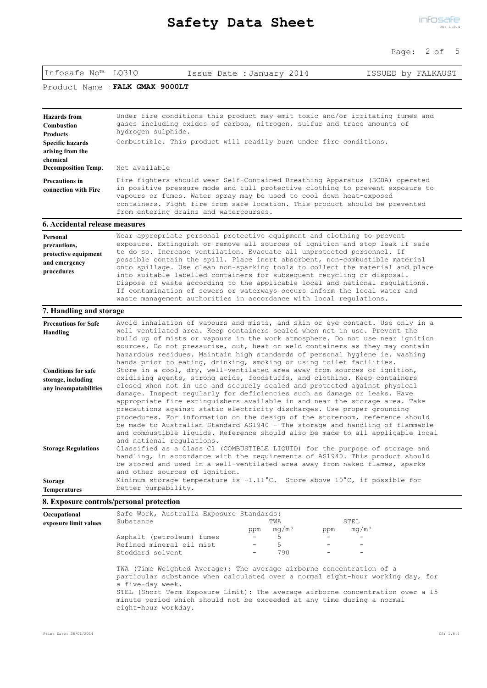## Page: 2 of 5

| Infosafe No™ LQ31Q                                                                                                   | Issue Date : January 2014                                                                                                                                                                                                                                                                                                                                                                                                                                                                                                                                                                                                                                                                                                                                                                                                                                                                                                                                                                                                                       |  | ISSUED by FALKAUST |  |  |  |
|----------------------------------------------------------------------------------------------------------------------|-------------------------------------------------------------------------------------------------------------------------------------------------------------------------------------------------------------------------------------------------------------------------------------------------------------------------------------------------------------------------------------------------------------------------------------------------------------------------------------------------------------------------------------------------------------------------------------------------------------------------------------------------------------------------------------------------------------------------------------------------------------------------------------------------------------------------------------------------------------------------------------------------------------------------------------------------------------------------------------------------------------------------------------------------|--|--------------------|--|--|--|
| Product Name                                                                                                         | FALK GMAX 9000LT                                                                                                                                                                                                                                                                                                                                                                                                                                                                                                                                                                                                                                                                                                                                                                                                                                                                                                                                                                                                                                |  |                    |  |  |  |
| <b>Hazards</b> from<br>Combustion<br><b>Products</b><br><b>Specific hazards</b><br>arising from the<br>chemical      | Under fire conditions this product may emit toxic and/or irritating fumes and<br>gases including oxides of carbon, nitrogen, sulfur and trace amounts of<br>hydrogen sulphide.<br>Combustible. This product will readily burn under fire conditions.<br>Not available                                                                                                                                                                                                                                                                                                                                                                                                                                                                                                                                                                                                                                                                                                                                                                           |  |                    |  |  |  |
| <b>Decomposition Temp.</b><br><b>Precautions in</b><br>connection with Fire                                          | Fire fighters should wear Self-Contained Breathing Apparatus (SCBA) operated<br>in positive pressure mode and full protective clothing to prevent exposure to<br>vapours or fumes. Water spray may be used to cool down heat-exposed<br>containers. Fight fire from safe location. This product should be prevented<br>from entering drains and watercourses.                                                                                                                                                                                                                                                                                                                                                                                                                                                                                                                                                                                                                                                                                   |  |                    |  |  |  |
| <b>6. Accidental release measures</b>                                                                                |                                                                                                                                                                                                                                                                                                                                                                                                                                                                                                                                                                                                                                                                                                                                                                                                                                                                                                                                                                                                                                                 |  |                    |  |  |  |
| Personal<br>precautions,<br>protective equipment<br>and emergency<br>procedures                                      | Wear appropriate personal protective equipment and clothing to prevent<br>exposure. Extinguish or remove all sources of ignition and stop leak if safe<br>to do so. Increase ventilation. Evacuate all unprotected personnel. If<br>possible contain the spill. Place inert absorbent, non-combustible material<br>onto spillage. Use clean non-sparking tools to collect the material and place<br>into suitable labelled containers for subsequent recycling or disposal.<br>Dispose of waste according to the applicable local and national regulations.<br>If contamination of sewers or waterways occurs inform the local water and<br>waste management authorities in accordance with local regulations.                                                                                                                                                                                                                                                                                                                                  |  |                    |  |  |  |
| 7. Handling and storage                                                                                              |                                                                                                                                                                                                                                                                                                                                                                                                                                                                                                                                                                                                                                                                                                                                                                                                                                                                                                                                                                                                                                                 |  |                    |  |  |  |
| <b>Precautions for Safe</b><br>Handling<br><b>Conditions for safe</b><br>storage, including<br>any incompatabilities | Avoid inhalation of vapours and mists, and skin or eye contact. Use only in a<br>well ventilated area. Keep containers sealed when not in use. Prevent the<br>build up of mists or vapours in the work atmosphere. Do not use near ignition<br>sources. Do not pressurise, cut, heat or weld containers as they may contain<br>hazardous residues. Maintain high standards of personal hygiene ie. washing<br>hands prior to eating, drinking, smoking or using toilet facilities.<br>Store in a cool, dry, well-ventilated area away from sources of ignition,<br>oxidising agents, strong acids, foodstuffs, and clothing. Keep containers<br>closed when not in use and securely sealed and protected against physical<br>damage. Inspect regularly for deficiencies such as damage or leaks. Have<br>appropriate fire extinguishers available in and near the storage area. Take<br>precautions against static electricity discharges. Use proper grounding<br>procedures. For information on the design of the storeroom, reference should |  |                    |  |  |  |
| <b>Storage Regulations</b><br>Storage<br><b>Temperatures</b>                                                         | be made to Australian Standard AS1940 - The storage and handling of flammable<br>and combustible liquids. Reference should also be made to all applicable local<br>and national requlations.<br>Classified as a Class C1 (COMBUSTIBLE LIQUID) for the purpose of storage and<br>handling, in accordance with the requirements of AS1940. This product should<br>be stored and used in a well-ventilated area away from naked flames, sparks<br>and other sources of ignition.<br>Minimum storage temperature is $-1.11^{\circ}$ C. Store above $10^{\circ}$ C, if possible for<br>better pumpability.                                                                                                                                                                                                                                                                                                                                                                                                                                           |  |                    |  |  |  |
|                                                                                                                      | 8. Exposure controls/personal protection                                                                                                                                                                                                                                                                                                                                                                                                                                                                                                                                                                                                                                                                                                                                                                                                                                                                                                                                                                                                        |  |                    |  |  |  |
|                                                                                                                      |                                                                                                                                                                                                                                                                                                                                                                                                                                                                                                                                                                                                                                                                                                                                                                                                                                                                                                                                                                                                                                                 |  |                    |  |  |  |

| Occupational          | Safe Work, Australia Exposure Standards:                                                                                                                                                                                                                                                                                                                      |                   |                   |     |                   |
|-----------------------|---------------------------------------------------------------------------------------------------------------------------------------------------------------------------------------------------------------------------------------------------------------------------------------------------------------------------------------------------------------|-------------------|-------------------|-----|-------------------|
| exposure limit values | Substance                                                                                                                                                                                                                                                                                                                                                     |                   | TWA               |     | STEL.             |
|                       |                                                                                                                                                                                                                                                                                                                                                               | ppm               | mq/m <sup>3</sup> | ppm | mq/m <sup>3</sup> |
|                       | Asphalt (petroleum) fumes                                                                                                                                                                                                                                                                                                                                     |                   | 5                 |     |                   |
|                       | Refined mineral oil mist                                                                                                                                                                                                                                                                                                                                      | $\qquad \qquad =$ |                   |     |                   |
|                       | Stoddard solvent                                                                                                                                                                                                                                                                                                                                              |                   | 790               |     |                   |
|                       | TWA (Time Weighted Average): The average airborne concentration of a<br>particular substance when calculated over a normal eight-hour working day, for<br>a five-day week.<br>STEL (Short Term Exposure Limit): The average airborne concentration over a 15<br>minute period which should not be exceeded at any time during a normal<br>eight-hour workday. |                   |                   |     |                   |
|                       |                                                                                                                                                                                                                                                                                                                                                               |                   |                   |     |                   |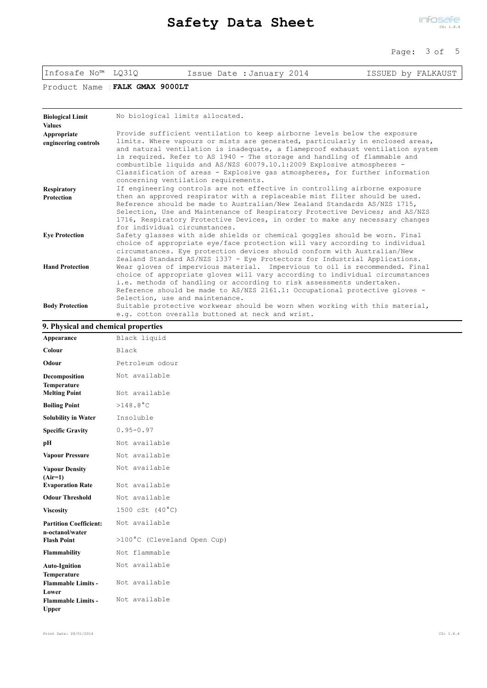### Page: 3 of 5

|                                          |                  |                                                                                                                                                                                                                                                                                                                                                                                                                                                                                                                             | raye. JUL          |
|------------------------------------------|------------------|-----------------------------------------------------------------------------------------------------------------------------------------------------------------------------------------------------------------------------------------------------------------------------------------------------------------------------------------------------------------------------------------------------------------------------------------------------------------------------------------------------------------------------|--------------------|
| Infosafe No <sup>™</sup> LO310           |                  | Issue Date : January 2014                                                                                                                                                                                                                                                                                                                                                                                                                                                                                                   | ISSUED by FALKAUST |
| Product Name                             | FALK GMAX 9000LT |                                                                                                                                                                                                                                                                                                                                                                                                                                                                                                                             |                    |
| <b>Biological Limit</b><br><b>Values</b> |                  | No biological limits allocated.                                                                                                                                                                                                                                                                                                                                                                                                                                                                                             |                    |
| Appropriate<br>engineering controls      |                  | Provide sufficient ventilation to keep airborne levels below the exposure<br>limits. Where vapours or mists are generated, particularly in enclosed areas,<br>and natural ventilation is inadequate, a flameproof exhaust ventilation system<br>is required. Refer to AS 1940 - The storage and handling of flammable and<br>combustible liquids and AS/NZS 60079.10.1:2009 Explosive atmospheres -<br>Classification of areas - Explosive gas atmospheres, for further information<br>concerning ventilation requirements. |                    |
| <b>Respiratory</b><br>Protection         |                  | If engineering controls are not effective in controlling airborne exposure<br>then an approved respirator with a replaceable mist filter should be used.<br>Reference should be made to Australian/New Zealand Standards AS/NZS 1715,<br>Selection, Use and Maintenance of Respiratory Protective Devices; and AS/NZS<br>1716, Respiratory Protective Devices, in order to make any necessary changes<br>for individual circumstances.                                                                                      |                    |
| <b>Eye Protection</b>                    |                  | Safety glasses with side shields or chemical goggles should be worn. Final<br>choice of appropriate eye/face protection will vary according to individual<br>circumstances. Eye protection devices should conform with Australian/New<br>Zealand Standard AS/NZS 1337 - Eye Protectors for Industrial Applications.                                                                                                                                                                                                         |                    |
| <b>Hand Protection</b>                   |                  | Wear gloves of impervious material. Impervious to oil is recommended. Final<br>choice of appropriate gloves will vary according to individual circumstances<br>i.e. methods of handling or according to risk assessments undertaken.<br>Reference should be made to AS/NZS 2161.1: Occupational protective gloves -<br>Selection, use and maintenance.                                                                                                                                                                      |                    |
| <b>Body Protection</b>                   |                  | Suitable protective workwear should be worn when working with this material,<br>e.g. cotton overalls buttoned at neck and wrist.                                                                                                                                                                                                                                                                                                                                                                                            |                    |
| 9. Physical and chemical properties      |                  |                                                                                                                                                                                                                                                                                                                                                                                                                                                                                                                             |                    |
| Appearance                               | Black liquid     |                                                                                                                                                                                                                                                                                                                                                                                                                                                                                                                             |                    |
| Colour                                   | Black            |                                                                                                                                                                                                                                                                                                                                                                                                                                                                                                                             |                    |
| Odour                                    | Petroleum odour  |                                                                                                                                                                                                                                                                                                                                                                                                                                                                                                                             |                    |

| Odour                                                    | Petroleum odour                          |
|----------------------------------------------------------|------------------------------------------|
| Decomposition                                            | Not available                            |
| <b>Temperature</b><br><b>Melting Point</b>               | Not available                            |
| <b>Boiling Point</b>                                     | $>148.8^{\circ}$ C                       |
| <b>Solubility in Water</b>                               | Insoluble                                |
| <b>Specific Gravity</b>                                  | $0.95 - 0.97$                            |
| pН                                                       | Not available                            |
| <b>Vapour Pressure</b>                                   | Not available                            |
| <b>Vapour Density</b><br>$(Air=1)$                       | Not available                            |
| <b>Evaporation Rate</b>                                  | Not available                            |
| <b>Odour Threshold</b>                                   | Not available                            |
| <b>Viscosity</b>                                         | $1500 \text{ cSt} (40^{\circ} \text{C})$ |
| <b>Partition Coefficient:</b><br>n-octanol/water         | Not available                            |
| <b>Flash Point</b>                                       | >100°C (Cleveland Open Cup)              |
| <b>Flammability</b>                                      | Not flammable                            |
| <b>Auto-Ignition</b>                                     | Not available                            |
| <b>Temperature</b><br><b>Flammable Limits -</b><br>Lower | Not available                            |
| <b>Flammable Limits -</b><br>Upper                       | Not available                            |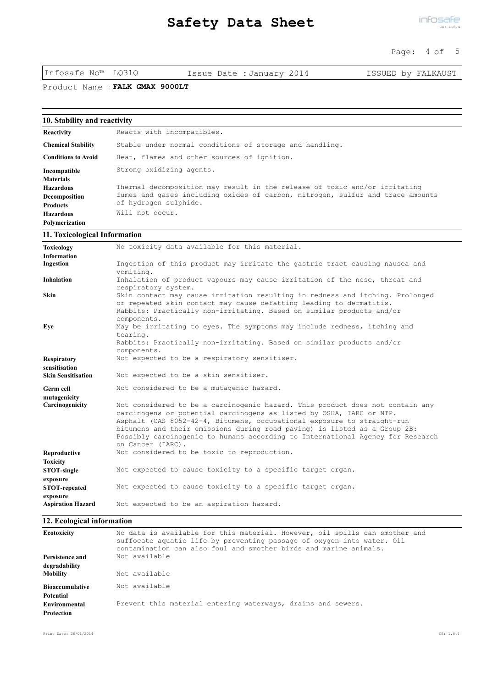### Page: 4 of 5

Infosafe No™ LQ31Q Issue Date :January 2014 ISSUED by FALKAUST

Product Name :**FALK GMAX 9000LT**

| 10. Stability and reactivity |                                                                                |
|------------------------------|--------------------------------------------------------------------------------|
| Reactivity                   | Reacts with incompatibles.                                                     |
| <b>Chemical Stability</b>    | Stable under normal conditions of storage and handling.                        |
| <b>Conditions to Avoid</b>   | Heat, flames and other sources of ignition.                                    |
| Incompatible                 | Strong oxidizing agents.                                                       |
| <b>Materials</b>             |                                                                                |
| <b>Hazardous</b>             | Thermal decomposition may result in the release of toxic and/or irritating     |
| Decomposition                | fumes and gases including oxides of carbon, nitrogen, sulfur and trace amounts |
| <b>Products</b>              | of hydrogen sulphide.                                                          |
| <b>Hazardous</b>             | Will not occur.                                                                |
| Polymerization               |                                                                                |

#### **11. Toxicological Information**

| No toxicity data available for this material.                                                                                                                                                                                                                                                                                                                                                                        |
|----------------------------------------------------------------------------------------------------------------------------------------------------------------------------------------------------------------------------------------------------------------------------------------------------------------------------------------------------------------------------------------------------------------------|
| Ingestion of this product may irritate the gastric tract causing nausea and<br>vomiting.                                                                                                                                                                                                                                                                                                                             |
| Inhalation of product vapours may cause irritation of the nose, throat and<br>respiratory system.                                                                                                                                                                                                                                                                                                                    |
| Skin contact may cause irritation resulting in redness and itching. Prolonged<br>or repeated skin contact may cause defatting leading to dermatitis.<br>Rabbits: Practically non-irritating. Based on similar products and/or<br>components.                                                                                                                                                                         |
| May be irritating to eyes. The symptoms may include redness, itching and<br>tearing.<br>Rabbits: Practically non-irritating. Based on similar products and/or<br>components.                                                                                                                                                                                                                                         |
| Not expected to be a respiratory sensitiser.                                                                                                                                                                                                                                                                                                                                                                         |
| Not expected to be a skin sensitiser.                                                                                                                                                                                                                                                                                                                                                                                |
| Not considered to be a mutagenic hazard.                                                                                                                                                                                                                                                                                                                                                                             |
| Not considered to be a carcinogenic hazard. This product does not contain any<br>carcinogens or potential carcinogens as listed by OSHA, IARC or NTP.<br>Asphalt (CAS 8052-42-4, Bitumens, occupational exposure to straight-run<br>bitumens and their emissions during road paving) is listed as a Group 2B:<br>Possibly carcinogenic to humans according to International Agency for Research<br>on Cancer (IARC). |
| Not considered to be toxic to reproduction.                                                                                                                                                                                                                                                                                                                                                                          |
|                                                                                                                                                                                                                                                                                                                                                                                                                      |
| Not expected to cause toxicity to a specific target organ.                                                                                                                                                                                                                                                                                                                                                           |
| Not expected to cause toxicity to a specific target organ.                                                                                                                                                                                                                                                                                                                                                           |
| Not expected to be an aspiration hazard.                                                                                                                                                                                                                                                                                                                                                                             |
|                                                                                                                                                                                                                                                                                                                                                                                                                      |

# **12. Ecological information**

| Ecotoxicity                              | No data is available for this material. However, oil spills can smother and<br>suffocate aquatic life by preventing passage of oxygen into water. Oil<br>contamination can also foul and smother birds and marine animals. |
|------------------------------------------|----------------------------------------------------------------------------------------------------------------------------------------------------------------------------------------------------------------------------|
| Persistence and                          | Not available                                                                                                                                                                                                              |
| degradability<br><b>Mobility</b>         | Not available                                                                                                                                                                                                              |
| <b>Bioaccumulative</b>                   | Not available                                                                                                                                                                                                              |
| Potential<br>Environmental<br>Protection | Prevent this material entering waterways, drains and sewers.                                                                                                                                                               |
|                                          |                                                                                                                                                                                                                            |